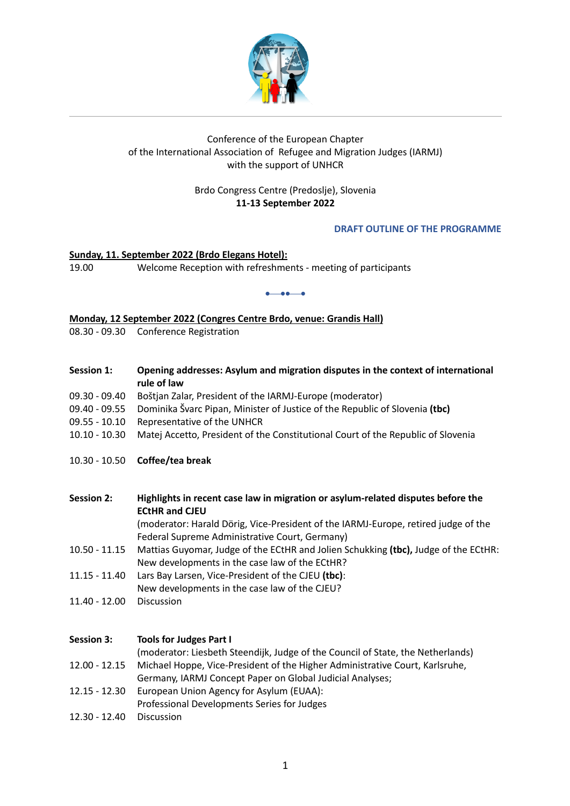

# Conference of the European Chapter of the International Association of Refugee and Migration Judges (IARMJ) with the support of UNHCR

# Brdo Congress Centre (Predoslje), Slovenia **11-13 September 2022**

# **DRAFT OUTLINE OF THE PROGRAMME**

### **Sunday, 11. September 2022 (Brdo Elegans Hotel):** 19.00 Welcome Reception with refreshments - meeting of participants

#### •¾••¾•

### **Monday, 12 September 2022 (Congres Centre Brdo, venue: Grandis Hall)**

08.30 - 09.30 Conference Registration

- **Session 1: Opening addresses: Asylum and migration disputes in the context of international rule of law**
- 09.30 09.40 Boštjan Zalar, President of the IARMJ-Europe (moderator)
- 09.40 09.55 Dominika Švarc Pipan, Minister of Justice of the Republic of Slovenia **(tbc)**
- 09.55 10.10 Representative of the UNHCR
- 10.10 10.30 Matej Accetto, President of the Constitutional Court of the Republic of Slovenia
- 10.30 10.50 **Coffee/tea break**

# **Session 2: Highlights in recent case law in migration or asylum-related disputes before the ECtHR and CJEU**

(moderator: Harald Dörig, Vice-President of the IARMJ-Europe, retired judge of the Federal Supreme Administrative Court, Germany)

- 10.50 11.15 Mattias Guyomar, Judge of the ECtHR and Jolien Schukking **(tbc),** Judge of the ECtHR: New developments in the case law of the ECtHR?
- 11.15 11.40 Lars Bay Larsen, Vice-President of the CJEU **(tbc)**:
- New developments in the case law of the CJEU?
- 11.40 12.00 Discussion

#### **Session 3: Tools for Judges Part I**

(moderator: Liesbeth Steendijk, Judge of the Council of State, the Netherlands)

- 12.00 12.15 Michael Hoppe, Vice-President of the Higher Administrative Court, Karlsruhe, Germany, IARMJ Concept Paper on Global Judicial Analyses;
- 12.15 12.30 European Union Agency for Asylum (EUAA):
- Professional Developments Series for Judges
- 12.30 12.40 Discussion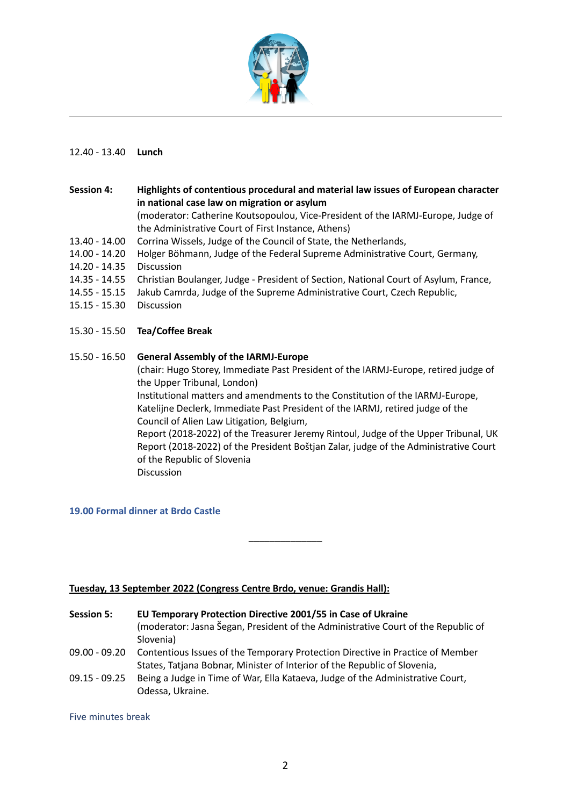

# 12.40 - 13.40 **Lunch**

**Session 4: Highlights of contentious procedural and material law issues of European character in national case law on migration or asylum** (moderator: Catherine Koutsopoulou, Vice-President of the IARMJ-Europe, Judge of the Administrative Court of First Instance, Athens) 13.40 - 14.00 Corrina Wissels, Judge of the Council of State, the Netherlands, 14.00 - 14.20 Holger Böhmann, Judge of the Federal Supreme Administrative Court, Germany, 14.20 - 14.35 Discussion 14.35 - 14.55 Christian Boulanger, Judge - President of Section, National Court of Asylum, France, 14.55 - 15.15 Jakub Camrda, Judge of the Supreme Administrative Court, Czech Republic, 15.15 - 15.30 Discussion

- 15.30 15.50 **Tea/Coffee Break**
- 15.50 16.50 **General Assembly of the IARMJ-Europe**

(chair: Hugo Storey, Immediate Past President of the IARMJ-Europe, retired judge of the Upper Tribunal, London)

Institutional matters and amendments to the Constitution of the IARMJ-Europe, Katelijne Declerk, Immediate Past President of the IARMJ, retired judge of the Council of Alien Law Litigation*,* Belgium,

Report (2018-2022) of the Treasurer Jeremy Rintoul, Judge of the Upper Tribunal, UK Report (2018-2022) of the President Boštjan Zalar, judge of the Administrative Court of the Republic of Slovenia

Discussion

# **19.00 Formal dinner at Brdo Castle**

# **Tuesday, 13 September 2022 (Congress Centre Brdo, venue: Grandis Hall):**

**Session 5: EU Temporary Protection Directive 2001/55 in Case of Ukraine**  (moderator: Jasna Šegan, President of the Administrative Court of the Republic of Slovenia)

\_\_\_\_\_\_\_\_\_\_\_\_\_\_

- 09.00 09.20 Contentious Issues of the Temporary Protection Directive in Practice of Member States, Tatjana Bobnar, Minister of Interior of the Republic of Slovenia,
- 09.15 09.25 Being a Judge in Time of War, Ella Kataeva, Judge of the Administrative Court, Odessa, Ukraine.

Five minutes break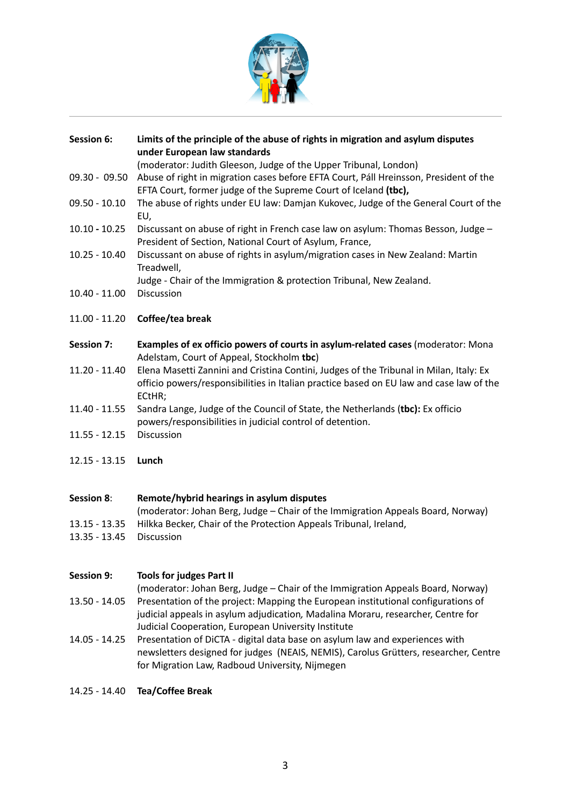

| <b>Session 6:</b> | Limits of the principle of the abuse of rights in migration and asylum disputes<br>under European law standards                                                                             |
|-------------------|---------------------------------------------------------------------------------------------------------------------------------------------------------------------------------------------|
|                   | (moderator: Judith Gleeson, Judge of the Upper Tribunal, London)                                                                                                                            |
| 09.30 - 09.50     | Abuse of right in migration cases before EFTA Court, Páll Hreinsson, President of the<br>EFTA Court, former judge of the Supreme Court of Iceland (tbc),                                    |
| 09.50 - 10.10     | The abuse of rights under EU law: Damjan Kukovec, Judge of the General Court of the<br>EU,                                                                                                  |
| $10.10 - 10.25$   | Discussant on abuse of right in French case law on asylum: Thomas Besson, Judge -<br>President of Section, National Court of Asylum, France,                                                |
| $10.25 - 10.40$   | Discussant on abuse of rights in asylum/migration cases in New Zealand: Martin<br>Treadwell,                                                                                                |
|                   | Judge - Chair of the Immigration & protection Tribunal, New Zealand.                                                                                                                        |
| $10.40 - 11.00$   | Discussion                                                                                                                                                                                  |
| $11.00 - 11.20$   | Coffee/tea break                                                                                                                                                                            |
| <b>Session 7:</b> | Examples of ex officio powers of courts in asylum-related cases (moderator: Mona<br>Adelstam, Court of Appeal, Stockholm tbc)                                                               |
| 11.20 - 11.40     | Elena Masetti Zannini and Cristina Contini, Judges of the Tribunal in Milan, Italy: Ex<br>officio powers/responsibilities in Italian practice based on EU law and case law of the<br>ECtHR; |
| 11.40 - 11.55     | Sandra Lange, Judge of the Council of State, the Netherlands (tbc): Ex officio<br>powers/responsibilities in judicial control of detention.                                                 |
| $11.55 - 12.15$   | Discussion                                                                                                                                                                                  |
| $12.15 - 13.15$   | Lunch                                                                                                                                                                                       |
| Session 8:        | Remote/hybrid hearings in asylum disputes                                                                                                                                                   |
|                   | (moderator: Johan Berg, Judge – Chair of the Immigration Appeals Board, Norway)                                                                                                             |
| $13.15 - 13.35$   | Hilkka Becker, Chair of the Protection Appeals Tribunal, Ireland,                                                                                                                           |
| 13.35 - 13.45     | Discussion                                                                                                                                                                                  |
| <b>Session 9:</b> | <b>Tools for judges Part II</b>                                                                                                                                                             |

- (moderator: Johan Berg, Judge Chair of the Immigration Appeals Board, Norway) 13.50 - 14.05 Presentation of the project: Mapping the European institutional configurations of judicial appeals in asylum adjudication*,* Madalina Moraru, researcher, Centre for Judicial Cooperation, European University Institute
- 14.05 14.25 Presentation of DiCTA digital data base on asylum law and experiences with newsletters designed for judges (NEAIS, NEMIS), Carolus Grütters, researcher, Centre for Migration Law, Radboud University, Nijmegen
- 14.25 14.40 **Tea/Coffee Break**